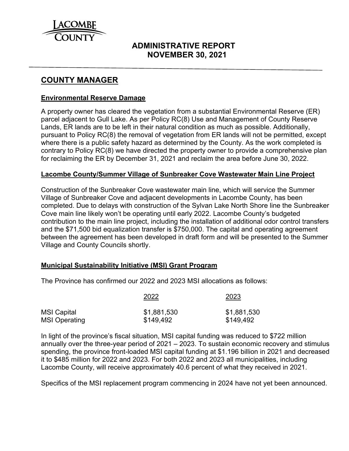

# **ADMINISTRATIVE REPORT NOVEMBER 30, 2021**

# **COUNTY MANAGER**

#### **Environmental Reserve Damage**

A property owner has cleared the vegetation from a substantial Environmental Reserve (ER) parcel adjacent to Gull Lake. As per Policy RC(8) Use and Management of County Reserve Lands, ER lands are to be left in their natural condition as much as possible. Additionally, pursuant to Policy RC(8) the removal of vegetation from ER lands will not be permitted, except where there is a public safety hazard as determined by the County. As the work completed is contrary to Policy RC(8) we have directed the property owner to provide a comprehensive plan for reclaiming the ER by December 31, 2021 and reclaim the area before June 30, 2022.

#### **Lacombe County/Summer Village of Sunbreaker Cove Wastewater Main Line Project**

Construction of the Sunbreaker Cove wastewater main line, which will service the Summer Village of Sunbreaker Cove and adjacent developments in Lacombe County, has been completed. Due to delays with construction of the Sylvan Lake North Shore line the Sunbreaker Cove main line likely won't be operating until early 2022. Lacombe County's budgeted contribution to the main line project, including the installation of additional odor control transfers and the \$71,500 bid equalization transfer is \$750,000. The capital and operating agreement between the agreement has been developed in draft form and will be presented to the Summer Village and County Councils shortly.

#### **Municipal Sustainability Initiative (MSI) Grant Program**

The Province has confirmed our 2022 and 2023 MSI allocations as follows:

|                      | 2022        | 2023        |  |  |
|----------------------|-------------|-------------|--|--|
| <b>MSI Capital</b>   | \$1,881,530 | \$1,881,530 |  |  |
| <b>MSI Operating</b> | \$149,492   | \$149,492   |  |  |

In light of the province's fiscal situation, MSI capital funding was reduced to \$722 million annually over the three-year period of 2021 – 2023. To sustain economic recovery and stimulus spending, the province front-loaded MSI capital funding at \$1.196 billion in 2021 and decreased it to \$485 million for 2022 and 2023. For both 2022 and 2023 all municipalities, including Lacombe County, will receive approximately 40.6 percent of what they received in 2021.

Specifics of the MSI replacement program commencing in 2024 have not yet been announced.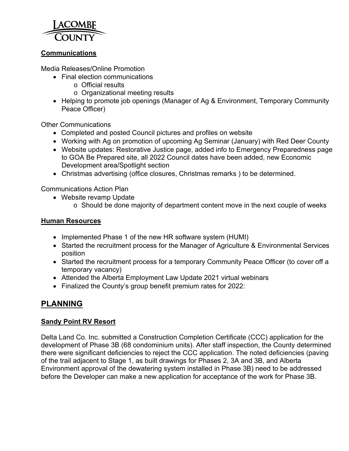

### **Communications**

Media Releases/Online Promotion

- Final election communications
	- o Official results
	- o Organizational meeting results
- Helping to promote job openings (Manager of Ag & Environment, Temporary Community Peace Officer)

Other Communications

- Completed and posted Council pictures and profiles on website
- Working with Ag on promotion of upcoming Ag Seminar (January) with Red Deer County
- Website updates: Restorative Justice page, added info to Emergency Preparedness page to GOA Be Prepared site, all 2022 Council dates have been added, new Economic Development area/Spotlight section
- Christmas advertising (office closures, Christmas remarks ) to be determined.

Communications Action Plan

- Website revamp Update
	- o Should be done majority of department content move in the next couple of weeks

#### **Human Resources**

- Implemented Phase 1 of the new HR software system (HUMI)
- Started the recruitment process for the Manager of Agriculture & Environmental Services position
- Started the recruitment process for a temporary Community Peace Officer (to cover off a temporary vacancy)
- Attended the Alberta Employment Law Update 2021 virtual webinars
- Finalized the County's group benefit premium rates for 2022:

# **PLANNING**

# **Sandy Point RV Resort**

Delta Land Co. Inc. submitted a Construction Completion Certificate (CCC) application for the development of Phase 3B (68 condominium units). After staff inspection, the County determined there were significant deficiencies to reject the CCC application. The noted deficiencies (paving of the trail adjacent to Stage 1, as built drawings for Phases 2, 3A and 3B, and Alberta Environment approval of the dewatering system installed in Phase 3B) need to be addressed before the Developer can make a new application for acceptance of the work for Phase 3B.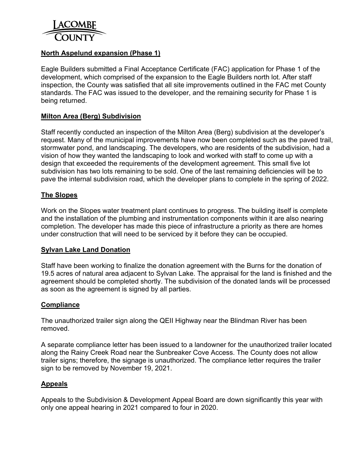

### **North Aspelund expansion (Phase 1)**

Eagle Builders submitted a Final Acceptance Certificate (FAC) application for Phase 1 of the development, which comprised of the expansion to the Eagle Builders north lot. After staff inspection, the County was satisfied that all site improvements outlined in the FAC met County standards. The FAC was issued to the developer, and the remaining security for Phase 1 is being returned.

#### **Milton Area (Berg) Subdivision**

Staff recently conducted an inspection of the Milton Area (Berg) subdivision at the developer's request. Many of the municipal improvements have now been completed such as the paved trail, stormwater pond, and landscaping. The developers, who are residents of the subdivision, had a vision of how they wanted the landscaping to look and worked with staff to come up with a design that exceeded the requirements of the development agreement. This small five lot subdivision has two lots remaining to be sold. One of the last remaining deficiencies will be to pave the internal subdivision road, which the developer plans to complete in the spring of 2022.

#### **The Slopes**

Work on the Slopes water treatment plant continues to progress. The building itself is complete and the installation of the plumbing and instrumentation components within it are also nearing completion. The developer has made this piece of infrastructure a priority as there are homes under construction that will need to be serviced by it before they can be occupied.

#### **Sylvan Lake Land Donation**

Staff have been working to finalize the donation agreement with the Burns for the donation of 19.5 acres of natural area adjacent to Sylvan Lake. The appraisal for the land is finished and the agreement should be completed shortly. The subdivision of the donated lands will be processed as soon as the agreement is signed by all parties.

#### **Compliance**

The unauthorized trailer sign along the QEII Highway near the Blindman River has been removed.

A separate compliance letter has been issued to a landowner for the unauthorized trailer located along the Rainy Creek Road near the Sunbreaker Cove Access. The County does not allow trailer signs; therefore, the signage is unauthorized. The compliance letter requires the trailer sign to be removed by November 19, 2021.

#### **Appeals**

Appeals to the Subdivision & Development Appeal Board are down significantly this year with only one appeal hearing in 2021 compared to four in 2020.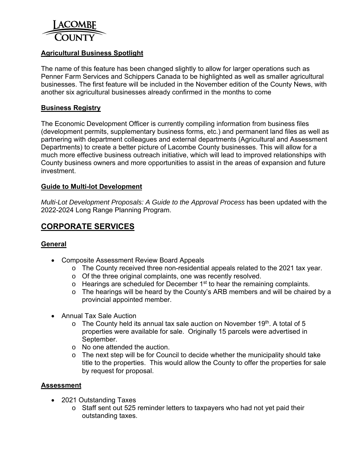

# **Agricultural Business Spotlight**

The name of this feature has been changed slightly to allow for larger operations such as Penner Farm Services and Schippers Canada to be highlighted as well as smaller agricultural businesses. The first feature will be included in the November edition of the County News, with another six agricultural businesses already confirmed in the months to come

### **Business Registry**

The Economic Development Officer is currently compiling information from business files (development permits, supplementary business forms, etc.) and permanent land files as well as partnering with department colleagues and external departments (Agricultural and Assessment Departments) to create a better picture of Lacombe County businesses. This will allow for a much more effective business outreach initiative, which will lead to improved relationships with County business owners and more opportunities to assist in the areas of expansion and future investment.

#### **Guide to Multi-lot Development**

*Multi-Lot Development Proposals: A Guide to the Approval Process has been updated with the* 2022-2024 Long Range Planning Program.

# **CORPORATE SERVICES**

# **General**

- Composite Assessment Review Board Appeals
	- o The County received three non-residential appeals related to the 2021 tax year.
	- o Of the three original complaints, one was recently resolved.
	- $\circ$  Hearings are scheduled for December 1<sup>st</sup> to hear the remaining complaints.
	- o The hearings will be heard by the County's ARB members and will be chaired by a provincial appointed member.
- Annual Tax Sale Auction
	- $\circ$  The County held its annual tax sale auction on November 19<sup>th</sup>. A total of 5 properties were available for sale. Originally 15 parcels were advertised in September.
	- o No one attended the auction.
	- o The next step will be for Council to decide whether the municipality should take title to the properties. This would allow the County to offer the properties for sale by request for proposal.

#### **Assessment**

- 2021 Outstanding Taxes
	- o Staff sent out 525 reminder letters to taxpayers who had not yet paid their outstanding taxes.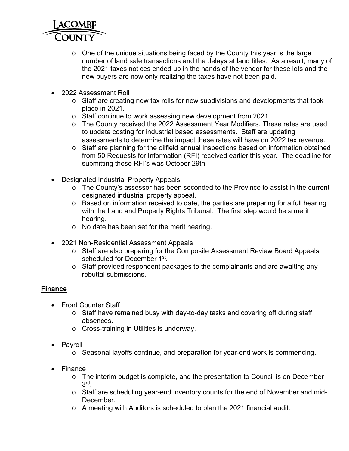

- o One of the unique situations being faced by the County this year is the large number of land sale transactions and the delays at land titles. As a result, many of the 2021 taxes notices ended up in the hands of the vendor for these lots and the new buyers are now only realizing the taxes have not been paid.
- 2022 Assessment Roll
	- o Staff are creating new tax rolls for new subdivisions and developments that took place in 2021.
	- o Staff continue to work assessing new development from 2021.
	- o The County received the 2022 Assessment Year Modifiers. These rates are used to update costing for industrial based assessments. Staff are updating assessments to determine the impact these rates will have on 2022 tax revenue.
	- o Staff are planning for the oilfield annual inspections based on information obtained from 50 Requests for Information (RFI) received earlier this year. The deadline for submitting these RFI's was October 29th
- Designated Industrial Property Appeals
	- o The County's assessor has been seconded to the Province to assist in the current designated industrial property appeal.
	- o Based on information received to date, the parties are preparing for a full hearing with the Land and Property Rights Tribunal. The first step would be a merit hearing.
	- o No date has been set for the merit hearing.
- 2021 Non-Residential Assessment Appeals
	- o Staff are also preparing for the Composite Assessment Review Board Appeals scheduled for December 1<sup>st</sup>.
	- o Staff provided respondent packages to the complainants and are awaiting any rebuttal submissions.

# **Finance**

- Front Counter Staff
	- o Staff have remained busy with day-to-day tasks and covering off during staff absences.
	- o Cross-training in Utilities is underway.
- Payroll
	- o Seasonal layoffs continue, and preparation for year-end work is commencing.
- Finance
	- o The interim budget is complete, and the presentation to Council is on December 3rd.
	- o Staff are scheduling year-end inventory counts for the end of November and mid-December.
	- o A meeting with Auditors is scheduled to plan the 2021 financial audit.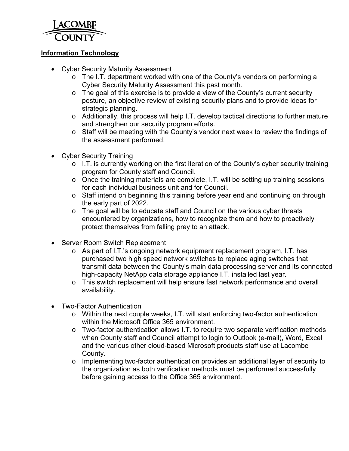

### **Information Technology**

- Cyber Security Maturity Assessment
	- o The I.T. department worked with one of the County's vendors on performing a Cyber Security Maturity Assessment this past month.
	- o The goal of this exercise is to provide a view of the County's current security posture, an objective review of existing security plans and to provide ideas for strategic planning.
	- o Additionally, this process will help I.T. develop tactical directions to further mature and strengthen our security program efforts.
	- o Staff will be meeting with the County's vendor next week to review the findings of the assessment performed.
- Cyber Security Training
	- o I.T. is currently working on the first iteration of the County's cyber security training program for County staff and Council.
	- o Once the training materials are complete, I.T. will be setting up training sessions for each individual business unit and for Council.
	- o Staff intend on beginning this training before year end and continuing on through the early part of 2022.
	- o The goal will be to educate staff and Council on the various cyber threats encountered by organizations, how to recognize them and how to proactively protect themselves from falling prey to an attack.
- Server Room Switch Replacement
	- o As part of I.T.'s ongoing network equipment replacement program, I.T. has purchased two high speed network switches to replace aging switches that transmit data between the County's main data processing server and its connected high-capacity NetApp data storage appliance I.T. installed last year.
	- o This switch replacement will help ensure fast network performance and overall availability.
- Two-Factor Authentication
	- o Within the next couple weeks, I.T. will start enforcing two-factor authentication within the Microsoft Office 365 environment.
	- o Two-factor authentication allows I.T. to require two separate verification methods when County staff and Council attempt to login to Outlook (e-mail), Word, Excel and the various other cloud-based Microsoft products staff use at Lacombe County.
	- $\circ$  Implementing two-factor authentication provides an additional layer of security to the organization as both verification methods must be performed successfully before gaining access to the Office 365 environment.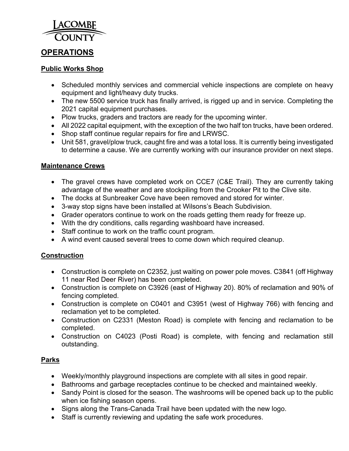

# **OPERATIONS**

### **Public Works Shop**

- Scheduled monthly services and commercial vehicle inspections are complete on heavy equipment and light/heavy duty trucks.
- The new 5500 service truck has finally arrived, is rigged up and in service. Completing the 2021 capital equipment purchases.
- Plow trucks, graders and tractors are ready for the upcoming winter.
- All 2022 capital equipment, with the exception of the two half ton trucks, have been ordered.
- Shop staff continue regular repairs for fire and LRWSC.
- Unit 581, gravel/plow truck, caught fire and was a total loss. It is currently being investigated to determine a cause. We are currently working with our insurance provider on next steps.

# **Maintenance Crews**

- The gravel crews have completed work on CCE7 (C&E Trail). They are currently taking advantage of the weather and are stockpiling from the Crooker Pit to the Clive site.
- The docks at Sunbreaker Cove have been removed and stored for winter.
- 3-way stop signs have been installed at Wilsons's Beach Subdivision.
- Grader operators continue to work on the roads getting them ready for freeze up.
- With the dry conditions, calls regarding washboard have increased.
- Staff continue to work on the traffic count program.
- A wind event caused several trees to come down which required cleanup.

# **Construction**

- Construction is complete on C2352, just waiting on power pole moves. C3841 (off Highway 11 near Red Deer River) has been completed.
- Construction is complete on C3926 (east of Highway 20). 80% of reclamation and 90% of fencing completed.
- Construction is complete on C0401 and C3951 (west of Highway 766) with fencing and reclamation yet to be completed.
- Construction on C2331 (Meston Road) is complete with fencing and reclamation to be completed.
- Construction on C4023 (Posti Road) is complete, with fencing and reclamation still outstanding.

# **Parks**

- Weekly/monthly playground inspections are complete with all sites in good repair.
- Bathrooms and garbage receptacles continue to be checked and maintained weekly.
- Sandy Point is closed for the season. The washrooms will be opened back up to the public when ice fishing season opens.
- Signs along the Trans-Canada Trail have been updated with the new logo.
- Staff is currently reviewing and updating the safe work procedures.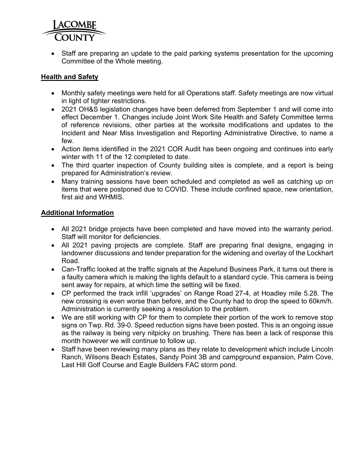

• Staff are preparing an update to the paid parking systems presentation for the upcoming Committee of the Whole meeting.

# **Health and Safety**

- Monthly safety meetings were held for all Operations staff. Safety meetings are now virtual in light of tighter restrictions.
- 2021 OH&S legislation changes have been deferred from September 1 and will come into effect December 1. Changes include Joint Work Site Health and Safety Committee terms of reference revisions, other parties at the worksite modifications and updates to the Incident and Near Miss Investigation and Reporting Administrative Directive, to name a few.
- Action items identified in the 2021 COR Audit has been ongoing and continues into early winter with 11 of the 12 completed to date.
- The third quarter inspection of County building sites is complete, and a report is being prepared for Administration's review.
- Many training sessions have been scheduled and completed as well as catching up on items that were postponed due to COVID. These include confined space, new orientation, first aid and WHMIS.

# **Additional Information**

- All 2021 bridge projects have been completed and have moved into the warranty period. Staff will monitor for deficiencies.
- All 2021 paving projects are complete. Staff are preparing final designs, engaging in landowner discussions and tender preparation for the widening and overlay of the Lockhart Road.
- Can-Traffic looked at the traffic signals at the Aspelund Business Park, it turns out there is a faulty camera which is making the lights default to a standard cycle. This camera is being sent away for repairs, at which time the setting will be fixed.
- CP performed the track infill 'upgrades' on Range Road 27-4, at Hoadley mile 5.28. The new crossing is even worse than before, and the County had to drop the speed to 60km/h. Administration is currently seeking a resolution to the problem.
- We are still working with CP for them to complete their portion of the work to remove stop signs on Twp. Rd. 39-0. Speed reduction signs have been posted. This is an ongoing issue as the railway is being very nitpicky on brushing. There has been a lack of response this month however we will continue to follow up.
- Staff have been reviewing many plans as they relate to development which include Lincoln Ranch, Wilsons Beach Estates, Sandy Point 3B and campground expansion, Palm Cove, Last Hill Golf Course and Eagle Builders FAC storm pond.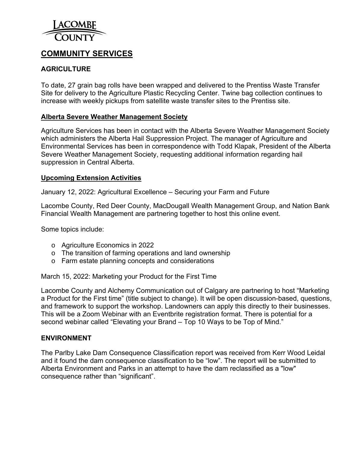

# **COMMUNITY SERVICES**

# **AGRICULTURE**

To date, 27 grain bag rolls have been wrapped and delivered to the Prentiss Waste Transfer Site for delivery to the Agriculture Plastic Recycling Center. Twine bag collection continues to increase with weekly pickups from satellite waste transfer sites to the Prentiss site.

#### **Alberta Severe Weather Management Society**

Agriculture Services has been in contact with the Alberta Severe Weather Management Society which administers the Alberta Hail Suppression Project. The manager of Agriculture and Environmental Services has been in correspondence with Todd Klapak, President of the Alberta Severe Weather Management Society, requesting additional information regarding hail suppression in Central Alberta.

#### **Upcoming Extension Activities**

January 12, 2022: Agricultural Excellence – Securing your Farm and Future

Lacombe County, Red Deer County, MacDougall Wealth Management Group, and Nation Bank Financial Wealth Management are partnering together to host this online event.

Some topics include:

- o Agriculture Economics in 2022
- o The transition of farming operations and land ownership
- o Farm estate planning concepts and considerations

March 15, 2022: Marketing your Product for the First Time

Lacombe County and Alchemy Communication out of Calgary are partnering to host "Marketing a Product for the First time" (title subject to change). It will be open discussion-based, questions, and framework to support the workshop. Landowners can apply this directly to their businesses. This will be a Zoom Webinar with an Eventbrite registration format. There is potential for a second webinar called "Elevating your Brand – Top 10 Ways to be Top of Mind."

#### **ENVIRONMENT**

The Parlby Lake Dam Consequence Classification report was received from Kerr Wood Leidal and it found the dam consequence classification to be "low". The report will be submitted to Alberta Environment and Parks in an attempt to have the dam reclassified as a "low" consequence rather than "significant".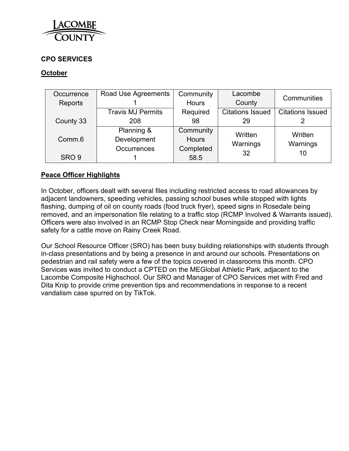

# **CPO SERVICES**

### **October**

| Occurrence         | Road Use Agreements      | Community    | Lacombe                 | Communities             |  |
|--------------------|--------------------------|--------------|-------------------------|-------------------------|--|
| Reports            |                          | <b>Hours</b> | County                  |                         |  |
|                    | <b>Travis MJ Permits</b> | Required     | <b>Citations Issued</b> | <b>Citations Issued</b> |  |
| County 33          | 208                      | 98           | 29                      |                         |  |
|                    | Planning &               | Community    | Written                 | Written                 |  |
| Comm <sub>.6</sub> | Development              | <b>Hours</b> | Warnings                | Warnings                |  |
|                    | <b>Occurrences</b>       | Completed    | 32                      | 10                      |  |
| SRO <sub>9</sub>   |                          | 58.5         |                         |                         |  |

### **Peace Officer Highlights**

In October, officers dealt with several files including restricted access to road allowances by adjacent landowners, speeding vehicles, passing school buses while stopped with lights flashing, dumping of oil on county roads (food truck fryer), speed signs in Rosedale being removed, and an impersonation file relating to a traffic stop (RCMP Involved & Warrants issued). Officers were also involved in an RCMP Stop Check near Morningside and providing traffic safety for a cattle move on Rainy Creek Road.

Our School Resource Officer (SRO) has been busy building relationships with students through in-class presentations and by being a presence in and around our schools. Presentations on pedestrian and rail safety were a few of the topics covered in classrooms this month. CPO Services was invited to conduct a CPTED on the MEGlobal Athletic Park, adjacent to the Lacombe Composite Highschool. Our SRO and Manager of CPO Services met with Fred and Dita Knip to provide crime prevention tips and recommendations in response to a recent vandalism case spurred on by TikTok.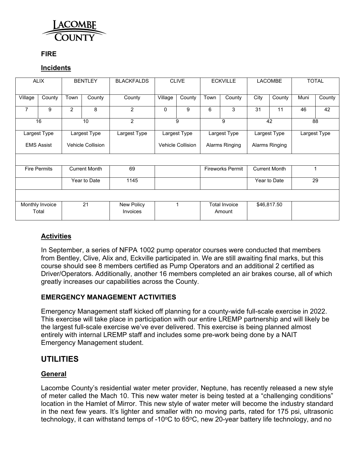

### **FIRE**

### **Incidents**

| <b>ALIX</b>                                 |                              |                | <b>BENTLEY</b>           | <b>BLACKFALDS</b>             |                      | <b>CLIVE</b>             |                | <b>ECKVILLE</b>                |                | <b>LACOMBE</b> |      | <b>TOTAL</b> |  |
|---------------------------------------------|------------------------------|----------------|--------------------------|-------------------------------|----------------------|--------------------------|----------------|--------------------------------|----------------|----------------|------|--------------|--|
| Village                                     | County                       | Town           | County                   | County                        | Village              | County                   | Town           | County                         | City           | County         | Muni | County       |  |
| 7                                           | 9                            | $\overline{2}$ | 8                        | $\overline{2}$                | $\Omega$             | 9                        | 6              | 3                              | 31             | 11             | 46   | 42           |  |
| 16<br>10                                    |                              |                | $\overline{2}$           | 9<br>9                        |                      | 42                       |                | 88                             |                |                |      |              |  |
|                                             | Largest Type<br>Largest Type |                | Largest Type             |                               | Largest Type         | Largest Type             |                | Largest Type                   |                | Largest Type   |      |              |  |
| <b>EMS Assist</b>                           |                              |                | <b>Vehicle Collision</b> |                               |                      | <b>Vehicle Collision</b> | Alarms Ringing |                                | Alarms Ringing |                |      |              |  |
|                                             |                              |                |                          |                               |                      |                          |                |                                |                |                |      |              |  |
| <b>Fire Permits</b><br><b>Current Month</b> |                              | 69             | <b>Fireworks Permit</b>  |                               | <b>Current Month</b> |                          |                |                                |                |                |      |              |  |
| Year to Date                                |                              | 1145           |                          |                               |                      | Year to Date             |                |                                | 29             |                |      |              |  |
|                                             |                              |                |                          |                               |                      |                          |                |                                |                |                |      |              |  |
|                                             | Monthly Invoice<br>Total     |                | 21                       | New Policy<br><b>Invoices</b> |                      | 1                        |                | <b>Total Invoice</b><br>Amount |                | \$46,817.50    |      |              |  |

# **Activities**

In September, a series of NFPA 1002 pump operator courses were conducted that members from Bentley, Clive, Alix and, Eckville participated in. We are still awaiting final marks, but this course should see 8 members certified as Pump Operators and an additional 2 certified as Driver/Operators. Additionally, another 16 members completed an air brakes course, all of which greatly increases our capabilities across the County.

# **EMERGENCY MANAGEMENT ACTIVITIES**

Emergency Management staff kicked off planning for a county-wide full-scale exercise in 2022. This exercise will take place in participation with our entire LREMP partnership and will likely be the largest full-scale exercise we've ever delivered. This exercise is being planned almost entirely with internal LREMP staff and includes some pre-work being done by a NAIT Emergency Management student.

# **UTILITIES**

# **General**

Lacombe County's residential water meter provider, Neptune, has recently released a new style of meter called the Mach 10. This new water meter is being tested at a "challenging conditions" location in the Hamlet of Mirror. This new style of water meter will become the industry standard in the next few years. It's lighter and smaller with no moving parts, rated for 175 psi, ultrasonic technology, it can withstand temps of -10 $\degree$ C to 65 $\degree$ C, new 20-year battery life technology, and no